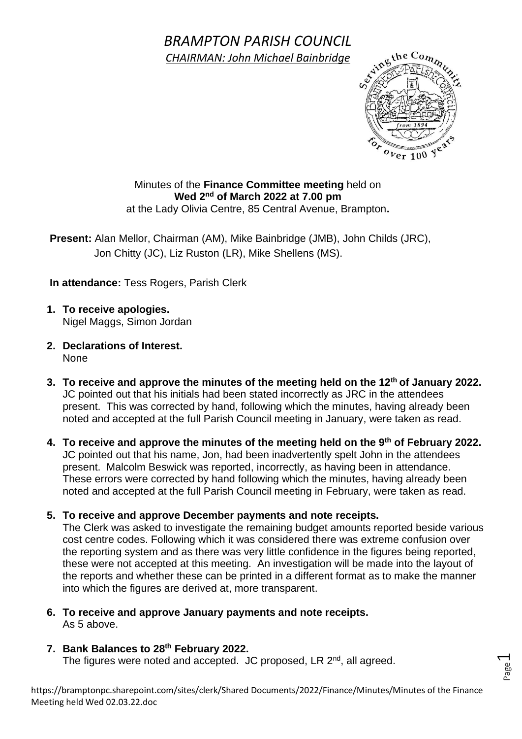## *BRAMPTON PARISH COUNCIL CHAIRMAN: John Michael Bainbridge*

Page  $\overline{\phantom{0}}$ 

Minutes of the **Finance Committee meeting** held on **Wed 2 nd of March 2022 at 7.00 pm** at the Lady Olivia Centre, 85 Central Avenue, Brampton**.**

**Present:** Alan Mellor, Chairman (AM), Mike Bainbridge (JMB), John Childs (JRC), Jon Chitty (JC), Liz Ruston (LR), Mike Shellens (MS).

**In attendance:** Tess Rogers, Parish Clerk

- **1. To receive apologies.** Nigel Maggs, Simon Jordan
- **2. Declarations of Interest.** None
- **3. To receive and approve the minutes of the meeting held on the 12 th of January 2022.** JC pointed out that his initials had been stated incorrectly as JRC in the attendees present. This was corrected by hand, following which the minutes, having already been noted and accepted at the full Parish Council meeting in January, were taken as read.
- **4. To receive and approve the minutes of the meeting held on the 9th of February 2022.** JC pointed out that his name, Jon, had been inadvertently spelt John in the attendees present. Malcolm Beswick was reported, incorrectly, as having been in attendance. These errors were corrected by hand following which the minutes, having already been noted and accepted at the full Parish Council meeting in February, were taken as read.

## **5. To receive and approve December payments and note receipts.**

The Clerk was asked to investigate the remaining budget amounts reported beside various cost centre codes. Following which it was considered there was extreme confusion over the reporting system and as there was very little confidence in the figures being reported, these were not accepted at this meeting. An investigation will be made into the layout of the reports and whether these can be printed in a different format as to make the manner into which the figures are derived at, more transparent.

**6. To receive and approve January payments and note receipts.** As 5 above.

## **7. Bank Balances to 28th February 2022.**

The figures were noted and accepted. JC proposed, LR 2<sup>nd</sup>, all agreed.